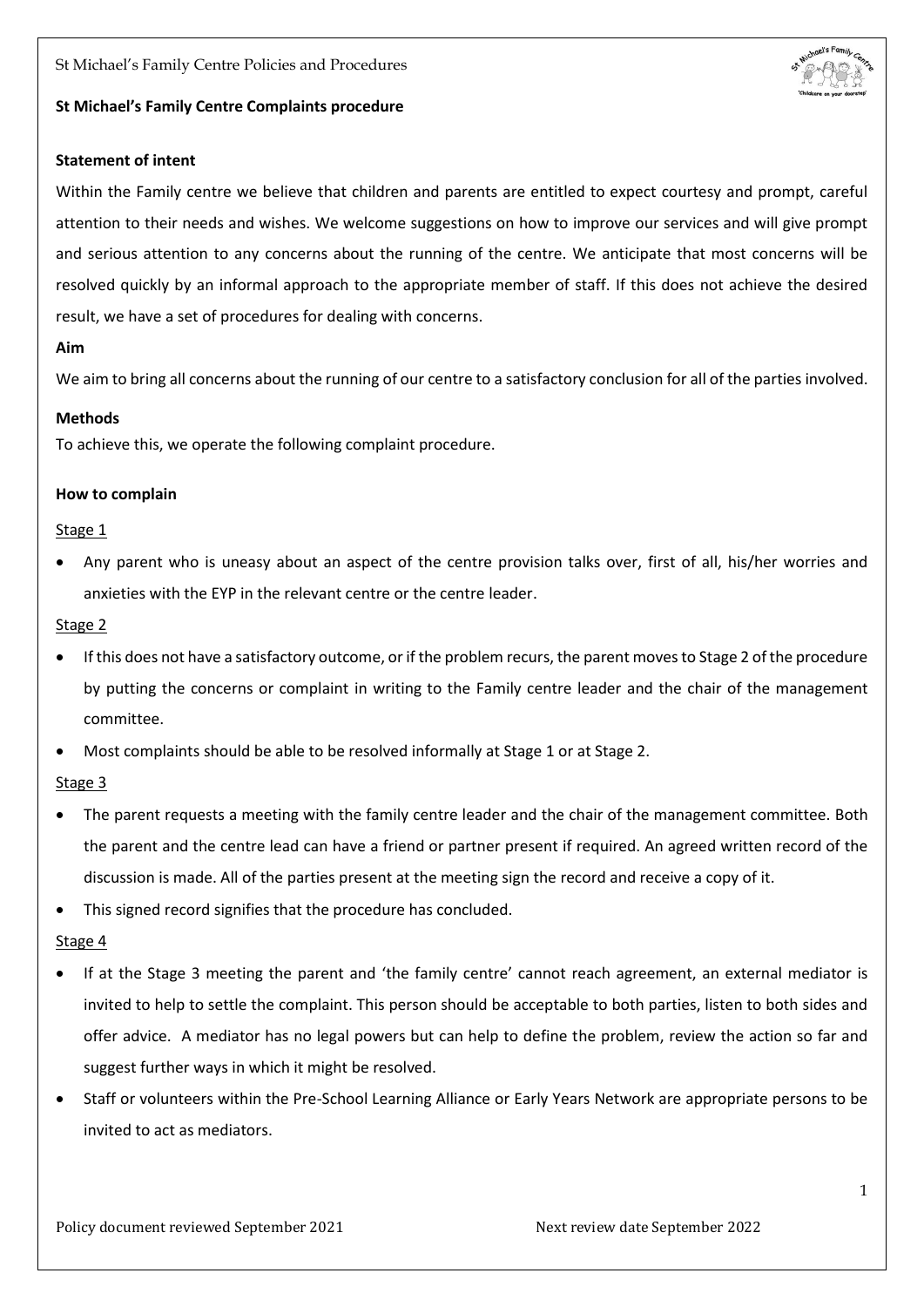St Michael's Family Centre Policies and Procedures



## **St Michael's Family Centre Complaints procedure**

## **Statement of intent**

Within the Family centre we believe that children and parents are entitled to expect courtesy and prompt, careful attention to their needs and wishes. We welcome suggestions on how to improve our services and will give prompt and serious attention to any concerns about the running of the centre. We anticipate that most concerns will be resolved quickly by an informal approach to the appropriate member of staff. If this does not achieve the desired result, we have a set of procedures for dealing with concerns.

## **Aim**

We aim to bring all concerns about the running of our centre to a satisfactory conclusion for all of the parties involved.

## **Methods**

To achieve this, we operate the following complaint procedure.

## **How to complain**

## Stage 1

 Any parent who is uneasy about an aspect of the centre provision talks over, first of all, his/her worries and anxieties with the EYP in the relevant centre or the centre leader.

## Stage 2

- If this does not have a satisfactory outcome, or if the problem recurs, the parent moves to Stage 2 of the procedure by putting the concerns or complaint in writing to the Family centre leader and the chair of the management committee.
- Most complaints should be able to be resolved informally at Stage 1 or at Stage 2.

# Stage 3

- The parent requests a meeting with the family centre leader and the chair of the management committee. Both the parent and the centre lead can have a friend or partner present if required. An agreed written record of the discussion is made. All of the parties present at the meeting sign the record and receive a copy of it.
- This signed record signifies that the procedure has concluded.

# Stage 4

- If at the Stage 3 meeting the parent and 'the family centre' cannot reach agreement, an external mediator is invited to help to settle the complaint. This person should be acceptable to both parties, listen to both sides and offer advice. A mediator has no legal powers but can help to define the problem, review the action so far and suggest further ways in which it might be resolved.
- Staff or volunteers within the Pre-School Learning Alliance or Early Years Network are appropriate persons to be invited to act as mediators.